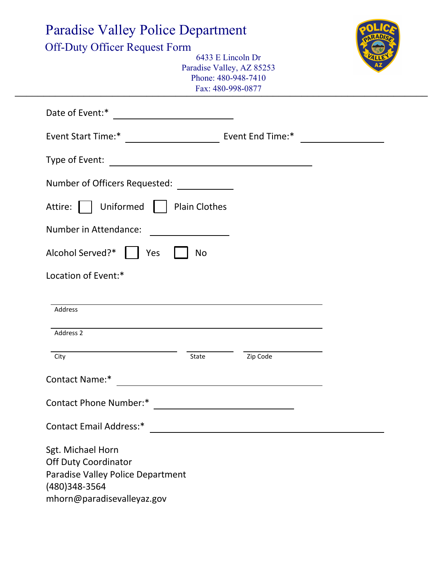| <b>Paradise Valley Police Department</b>      |                                                                                                                      |          |  |
|-----------------------------------------------|----------------------------------------------------------------------------------------------------------------------|----------|--|
| <b>Off-Duty Officer Request Form</b>          | 6433 E Lincoln Dr<br>Paradise Valley, AZ 85253<br>Phone: 480-948-7410<br>Fax: 480-998-0877                           |          |  |
| Date of Event:*                               |                                                                                                                      |          |  |
| Event End Time:*<br><b>Event Start Time:*</b> |                                                                                                                      |          |  |
| Type of Event:                                | <u> 1980 - Jan James James Barbara, politik eta politik eta politik eta politik eta politik eta politik eta poli</u> |          |  |
| Number of Officers Requested:                 |                                                                                                                      |          |  |
| Uniformed<br>Attire:                          | <b>Plain Clothes</b>                                                                                                 |          |  |
| Number in Attendance:                         |                                                                                                                      |          |  |
|                                               |                                                                                                                      |          |  |
| Alcohol Served?*<br>Yes                       | <b>No</b>                                                                                                            |          |  |
| Location of Event:*                           |                                                                                                                      |          |  |
| Address                                       |                                                                                                                      |          |  |
| Address 2                                     |                                                                                                                      |          |  |
| City<br>Contact Name:*                        | State                                                                                                                | Zip Code |  |
|                                               |                                                                                                                      |          |  |
|                                               |                                                                                                                      |          |  |